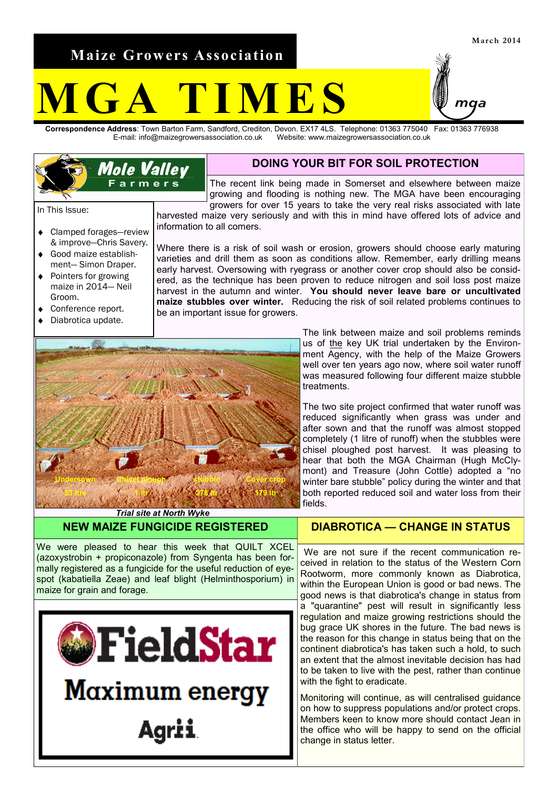**Maize Growers Association**

**Mole Valley** Farmers<sup>"</sup>

## **M F S**

**Correspondence Address**: Town Barton Farm, Sandford, Crediton, Devon. EX17 4LS. Telephone: 01363 775040 Fax: 01363 776938 Website: www.maizegrowersassociation.co.uk



The recent link being made in Somerset and elsewhere between maize growing and flooding is nothing new. The MGA have been encouraging growers for over 15 years to take the very real risks associated with late

harvested maize very seriously and with this in mind have offered lots of advice and information to all comers.

Where there is a risk of soil wash or erosion, growers should choose early maturing varieties and drill them as soon as conditions allow. Remember, early drilling means early harvest. Oversowing with ryegrass or another cover crop should also be considered, as the technique has been proven to reduce nitrogen and soil loss post maize harvest in the autumn and winter. **You should never leave bare or uncultivated maize stubbles over winter.** Reducing the risk of soil related problems continues to be an important issue for growers.

> The link between maize and soil problems reminds us of the key UK trial undertaken by the Environment Agency, with the help of the Maize Growers well over ten years ago now, where soil water runoff was measured following four different maize stubble treatments.

> The two site project confirmed that water runoff was reduced significantly when grass was under and after sown and that the runoff was almost stopped completely (1 litre of runoff) when the stubbles were chisel ploughed post harvest. It was pleasing to hear that both the MGA Chairman (Hugh McClymont) and Treasure (John Cottle) adopted a "no winter bare stubble" policy during the winter and that both reported reduced soil and water loss from their fields.

*Trial site at North Wyke* **NEW MAIZE FUNGICIDE REGISTERED**

We were pleased to hear this week that QUILT XCEL (azoxystrobin + propiconazole) from Syngenta has been formally registered as a fungicide for the useful reduction of eyespot (kabatiella Zeae) and leaf blight (Helminthosporium) in maize for grain and forage.



## **DIABROTICA — CHANGE IN STATUS**

We are not sure if the recent communication received in relation to the status of the Western Corn Rootworm, more commonly known as Diabrotica, within the European Union is good or bad news. The good news is that diabrotica's change in status from a "quarantine" pest will result in significantly less regulation and maize growing restrictions should the bug grace UK shores in the future. The bad news is the reason for this change in status being that on the continent diabrotica's has taken such a hold, to such an extent that the almost inevitable decision has had to be taken to live with the pest, rather than continue with the fight to eradicate.

Monitoring will continue, as will centralised guidance on how to suppress populations and/or protect crops. Members keen to know more should contact Jean in the office who will be happy to send on the official change in status letter.

In This Issue:

- $\bullet$ Clamped forages—review & improve—Chris Savery.
- Good maize establishment— Simon Draper.
- Pointers for growing maize in 2014— Neil Groom.
- Conference report.
- Diabrotica update.